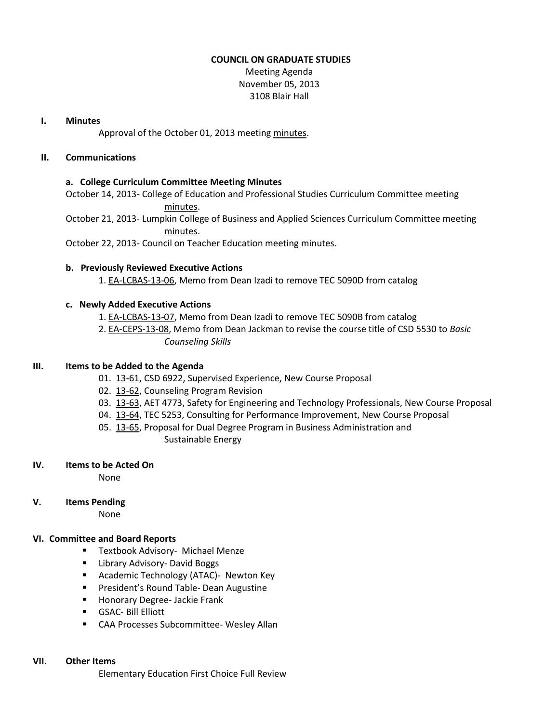## **COUNCIL ON GRADUATE STUDIES**

Meeting Agenda November 05, 2013 3108 Blair Hall

## **I. Minutes**

Approval of the October 01, 2013 meetin[g minutes.](http://castle.eiu.edu/eiucgs/currentminutes/Minutes10-01-13.pdf)

# **II. Communications**

## **a. College Curriculum Committee Meeting Minutes**

October 14, 2013- College of Education and Professional Studies Curriculum Committee meeting [minutes.](http://castle.eiu.edu/~eiucgs/currentagendaitems/CEPSMin10-14-13.pdf)

October 21, 2013- Lumpkin College of Business and Applied Sciences Curriculum Committee meeting [minutes.](http://castle.eiu.edu/~eiucgs/currentagendaitems/LCBASMin10-21-13.pdf)

October 22, 2013- Council on Teacher Education meeting [minutes.](http://castle.eiu.edu/~eiucgs/currentagendaitems/COTEMin10-22-13.pdf)

# **b. Previously Reviewed Executive Actions**

1. [EA-LCBAS-13-06,](http://castle.eiu.edu/~eiucgs/exec-actions/EA-LCBAS-13-06.pdf) Memo from Dean Izadi to remove TEC 5090D from catalog

## **c. Newly Added Executive Actions**

- 1. [EA-LCBAS-13-07,](http://castle.eiu.edu/~eiucgs/exec-actions/EA-LCBAS-13-07.pdf) Memo from Dean Izadi to remove TEC 5090B from catalog
- 2. [EA-CEPS-13-08,](http://castle.eiu.edu/~eiucgs/exec-actions/EA-CEPS-13-08.pdf) Memo from Dean Jackman to revise the course title of CSD 5530 to *Basic Counseling Skills*

## **III. Items to be Added to the Agenda**

- 01. [13-61,](http://castle.eiu.edu/~eiucgs/currentagendaitems/agenda13-61.pdf) CSD 6922, Supervised Experience, New Course Proposal
- 02. [13-62,](http://castle.eiu.edu/~eiucgs/currentagendaitems/agenda13-62.pdf) Counseling Program Revision
- 03. [13-63,](http://castle.eiu.edu/~eiucgs/currentagendaitems/agenda13-63.pdf) AET 4773, Safety for Engineering and Technology Professionals, New Course Proposal
- 04. [13-64,](http://castle.eiu.edu/~eiucgs/currentagendaitems/agenda13-64.pdf) TEC 5253, Consulting for Performance Improvement, New Course Proposal
- 05. [13-65,](http://castle.eiu.edu/~eiucgs/currentagendaitems/agenda13-65.pdf) Proposal for Dual Degree Program in Business Administration and Sustainable Energy

### **IV. Items to be Acted On**

None

### **V. Items Pending**

None

# **VI. Committee and Board Reports**

- **Textbook Advisory- Michael Menze**
- **E** Library Advisory- David Boggs
- **Academic Technology (ATAC)- Newton Key**
- **President's Round Table- Dean Augustine**
- **Honorary Degree- Jackie Frank**
- GSAC- Bill Elliott
- CAA Processes Subcommittee- Wesley Allan

### **VII. Other Items**

Elementary Education First Choice Full Review